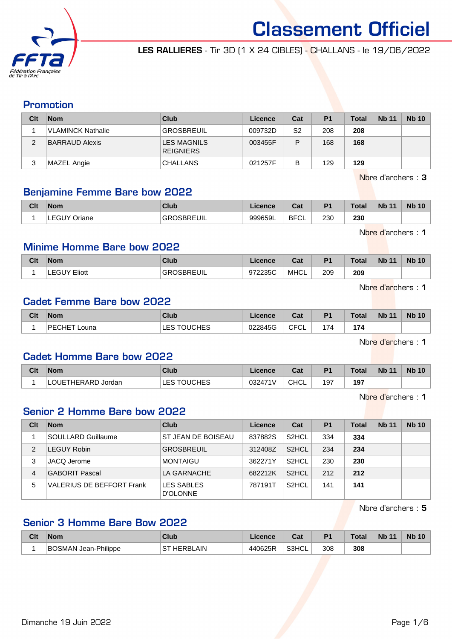

LES RALLIERES - Tir 3D (1 X 24 CIBLES) - CHALLANS - le 19/06/2022

## Promotion

| Clt | <b>Nom</b>               | Club                                   | Licence | Cat | P <sub>1</sub> | <b>Total</b> | <b>Nb 11</b> | <b>Nb 10</b> |
|-----|--------------------------|----------------------------------------|---------|-----|----------------|--------------|--------------|--------------|
|     | <b>VLAMINCK Nathalie</b> | <b>GROSBREUIL</b>                      | 009732D | S2  | 208            | 208          |              |              |
| ◠   | BARRAUD Alexis           | <b>LES MAGNILS</b><br><b>REIGNIERS</b> | 003455F | P   | 168            | 168          |              |              |
|     | MAZEL Angie              | <b>CHALLANS</b>                        | 021257F | В   | 129            | 129          |              |              |

Nbre d'archers : 3

# Benjamine Femme Bare bow 2022

| Clt | <b>Nom</b>          | Club              | Licence | <b>Cat</b><br>ual | D <sub>1</sub> | <b>Total</b> | <b>N<sub>b</sub></b><br>$\overline{A}$ | <b>Nb 10</b> |
|-----|---------------------|-------------------|---------|-------------------|----------------|--------------|----------------------------------------|--------------|
|     | <b>LEGUY Oriane</b> | <b>GROSBREUIL</b> | 999659L | <b>BFCL</b>       | 230            | 230          |                                        |              |

Nbre d'archers : 1

# Minime Homme Bare bow 2022

| Clt | <b>Nom</b>             | Club            | Licence | <b>DAL</b><br>cau | D <sub>1</sub> | <b>Total</b> | <b>N<sub>b</sub></b><br>$\overline{A}$ | <b>Nb</b><br>10 |
|-----|------------------------|-----------------|---------|-------------------|----------------|--------------|----------------------------------------|-----------------|
|     | Eliott<br><b>LEGUY</b> | つSBREUIL<br>GR( | 972235C | <b>MHCL</b>       | 209            | 209          |                                        |                 |

Nbre d'archers : 1

#### Cadet Femme Bare bow 2022

| Clt | <b>Nom</b>                  | Club                       | Licence | <b>Table</b><br>udl | D <sub>4</sub> | Total | <b>Nb 11</b> | <b>Nb 10</b> |
|-----|-----------------------------|----------------------------|---------|---------------------|----------------|-------|--------------|--------------|
|     | <b>ECHET</b><br>PF<br>Louna | <b>OUCHES</b><br>--<br>ᄂᄂ୰ | 022845G | $\cap$ FCL          | 74             | 174   |              |              |

Nbre d'archers : 1

#### Cadet Homme Bare bow 2022

| Clt | <b>Nom</b>                        | Club   | Licence                  | <b>That</b><br>⊍ou | D <sub>1</sub> | Total       | <b>Nb 11</b> | <b>Nb 10</b> |
|-----|-----------------------------------|--------|--------------------------|--------------------|----------------|-------------|--------------|--------------|
|     | THERARD<br>$\bigcap$ IF<br>Jordan | OUCHES | 03247<br>11 <sub>V</sub> | <b>CHCL</b>        | 197            | 197<br>$ -$ |              |              |

Nbre d'archers : 1

#### Senior 2 Homme Bare bow 2022

| Clt | <b>Nom</b>                | Club                   | Licence | Cat                | <b>P1</b> | Total | <b>Nb 11</b> | <b>Nb 10</b> |
|-----|---------------------------|------------------------|---------|--------------------|-----------|-------|--------------|--------------|
|     | SOULLARD Guillaume        | ST JEAN DE BOISEAU     | 837882S | S <sub>2</sub> HCL | 334       | 334   |              |              |
| 2   | <b>LEGUY Robin</b>        | <b>GROSBREUIL</b>      | 312408Z | S <sub>2</sub> HCL | 234       | 234   |              |              |
| 3   | JACQ Jerome               | <b>MONTAIGU</b>        | 362271Y | S <sub>2</sub> HCL | 230       | 230   |              |              |
| 4   | GABORIT Pascal            | LA GARNACHE            | 682212K | S <sub>2</sub> HCL | 212       | 212   |              |              |
| 5   | VALERIUS DE BEFFORT Frank | LES SABLES<br>D'OLONNE | 787191T | S <sub>2</sub> HCL | 141       | 141   |              |              |

Nbre d'archers : 5

# Senior 3 Homme Bare Bow 2022

| Clt | <b>Nom</b>                  | <b>Club</b>             | Licence | $R_{\rm{eff}}$<br>⊍a | P <sub>1</sub> | <b>Total</b> | <b>Nb 11</b> | <b>Nb 10</b> |
|-----|-----------------------------|-------------------------|---------|----------------------|----------------|--------------|--------------|--------------|
|     | <b>BOSMAN Jean-Philippe</b> | HERBLAIN<br>$\sim$<br>ت | 440625R | S3HCL                | 308            | 308          |              |              |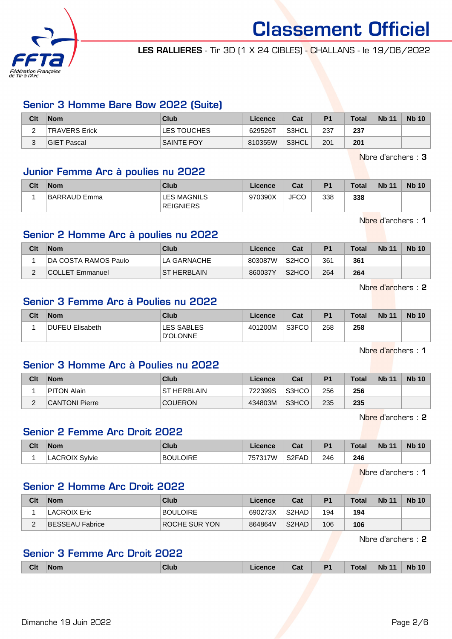

LES RALLIERES - Tir 3D (1 X 24 CIBLES) - CHALLANS - le 19/06/2022

## Senior 3 Homme Bare Bow 2022 (Suite)

| Clt | ∣Nom          | Club              | Licence | Cat   | P <sub>1</sub> | <b>Total</b> | <b>Nb 11</b> | <b>Nb 10</b> |
|-----|---------------|-------------------|---------|-------|----------------|--------------|--------------|--------------|
| -   | TRAVERS Erick | LES TOUCHES       | 629526T | S3HCL | 237            | 237          |              |              |
|     | GIET Pascal   | <b>SAINTE FOY</b> | 810355W | S3HCL | 201            | 201          |              |              |

Nbre d'archers : 3

#### Junior Femme Arc à poulies nu 2022

| Clt | <b>Nom</b>   | Club                                   | Licence | Cat         | P <sub>1</sub> | <b>Total</b> | <b>Nb 11</b> | <b>Nb 10</b> |
|-----|--------------|----------------------------------------|---------|-------------|----------------|--------------|--------------|--------------|
|     | BARRAUD Emma | <b>LES MAGNILS</b><br><b>REIGNIERS</b> | 970390X | <b>JFCC</b> | 338            | 338          |              |              |

Nbre d'archers : 1

## Senior 2 Homme Arc à poulies nu 2022

| Clt | <b>Nom</b>                  | <b>Club</b>  | Licence | Cat                | P <sub>1</sub> | <b>Total</b> | <b>Nb 11</b> | <b>Nb 10</b> |
|-----|-----------------------------|--------------|---------|--------------------|----------------|--------------|--------------|--------------|
|     | <b>DA COSTA RAMOS Paulo</b> | LA GARNACHE  | 803087W | S <sub>2</sub> HCO | 361            | 361          |              |              |
|     | COLLET Emmanuel             | IST HERBLAIN | 860037Y | S <sub>2</sub> HCO | 264            | 264          |              |              |

Nbre d'archers : 2

# Senior 3 Femme Arc à Poulies nu 2022

| Clt | <b>Nom</b>      | Club                          | Licence | Cat   | P <sub>1</sub> | <b>Total</b> | <b>Nb 11</b> | <b>Nb 10</b> |
|-----|-----------------|-------------------------------|---------|-------|----------------|--------------|--------------|--------------|
|     | DUFEU Elisabeth | LES SABLES<br><b>D'OLONNE</b> | 401200M | S3FCO | 258            | 258          |              |              |

Nbre d'archers : 1

# Senior 3 Homme Arc à Poulies nu 2022

| Clt | <b>Nom</b>         | Club               | Licence | Cat   | P <sub>1</sub> | <b>Total</b> | <b>Nb 11</b> | <b>Nb 10</b> |
|-----|--------------------|--------------------|---------|-------|----------------|--------------|--------------|--------------|
|     | <b>PITON Alain</b> | <b>ST HERBLAIN</b> | 722399S | S3HCO | 256            | 256          |              |              |
|     | CANTONI Pierre     | <b>COUERON</b>     | 434803M | S3HCO | 235            | 235          |              |              |

Nbre d'archers : 2

## Senior 2 Femme Arc Droit 2022

| Clt | <b>Nom</b>            | Club            | ∟icence | r.,<br>ual | P <sub>1</sub> | <b>Total</b> | <b>Nb 11</b> | <b>Nb 10</b> |
|-----|-----------------------|-----------------|---------|------------|----------------|--------------|--------------|--------------|
|     | <b>LACROIX Sylvie</b> | <b>BOULOIRE</b> | 757317W | S2FAD      | 246            | 246          |              |              |

Nbre d'archers : 1

## Senior 2 Homme Arc Droit 2022

| Clt | <b>Nom</b>      | Club            | Licence | Cat                | P <sub>1</sub> | Total | <b>Nb 11</b> | <b>Nb 10</b> |
|-----|-----------------|-----------------|---------|--------------------|----------------|-------|--------------|--------------|
|     | LACROIX Eric    | <b>BOULOIRE</b> | 690273X | S <sub>2</sub> HAD | 194            | 194   |              |              |
|     | BESSEAU Fabrice | ROCHE SUR YON   | 864864V | S <sub>2</sub> HAD | 106            | 106   |              |              |

Nbre d'archers : 2

# Senior 3 Femme Arc Droit 2022

| <b>Clt</b> | <b>Nom</b> | Club | .icence | Cat | D4 | <b>Total</b> | <b>Nb</b><br>$\overline{A}$ | <b>Nb</b><br>10 |
|------------|------------|------|---------|-----|----|--------------|-----------------------------|-----------------|
|            |            |      |         |     |    |              |                             |                 |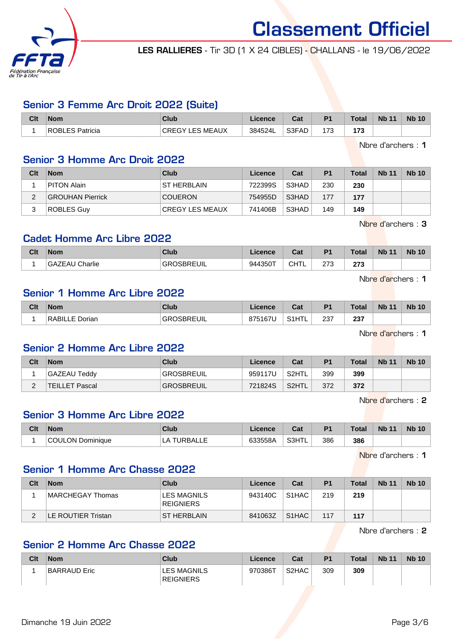

LES RALLIERES - Tir 3D (1 X 24 CIBLES) - CHALLANS - le 19/06/2022

## Senior 3 Femme Arc Droit 2022 (Suite)

| Clt | <b>Nom</b>                                    | Club                               | Licence | ∩^∙<br>val | P <sub>1</sub> | <b>Total</b> | <b>N<sub>b</sub></b><br>11 | <b>Nb 10</b> |
|-----|-----------------------------------------------|------------------------------------|---------|------------|----------------|--------------|----------------------------|--------------|
|     | <b>OBLES Patricia</b><br><b>RC</b><br>∴ ≀DL∟. | ∟ES MEAUX<br>$\tilde{\phantom{a}}$ | 384524L | S3FAD      | 72<br>ں ، .    | 179          |                            |              |

Nbre d'archers : 1

### Senior 3 Homme Arc Droit 2022

| Clt | <b>Nom</b>              | Club                   | Licence | Cat   | P <sub>1</sub> | <b>Total</b> | <b>Nb 11</b> | <b>Nb 10</b> |
|-----|-------------------------|------------------------|---------|-------|----------------|--------------|--------------|--------------|
|     | PITON Alain             | <b>ST HERBLAIN</b>     | 722399S | S3HAD | 230            | 230          |              |              |
|     | <b>GROUHAN Pierrick</b> | <b>COUERON</b>         | 754955D | S3HAD | 177            | 177          |              |              |
|     | ROBLES Guv              | <b>CREGY LES MEAUX</b> | 741406B | S3HAD | 149            | 149          |              |              |

Nbre d'archers : 3

## Cadet Homme Arc Libre 2022

| Clt | <b>Nom</b>              | Club            | .icence         | ◠؞+<br>udl | P <sub>1</sub> | <b>Total</b>      | <b>Nb 11</b> | <b>Nb</b><br>$\overline{A}$ |
|-----|-------------------------|-----------------|-----------------|------------|----------------|-------------------|--------------|-----------------------------|
|     | Charlie<br>'⊢Al.<br>GA. | <b>OSBREUIL</b> | 944350T<br>issu | CHTL       | 273<br>$\sim$  | ^7^<br>21 J<br>__ |              |                             |

Nbre d'archers : 1

## Senior 1 Homme Arc Libre 2022

| Clt | <b>Nom</b>     | Club                   | Licence | $F - F$<br>ual | P <sub>1</sub> | <b>Total</b> | <b>Nb 11</b> | <b>Nb 10</b> |
|-----|----------------|------------------------|---------|----------------|----------------|--------------|--------------|--------------|
|     | RABILLE Dorian | <b>OSBREUIL</b><br>GR( | 875167U | பா<br>$\sim$ 1 | 237            | 237          |              |              |

Nbre d'archers : 1

# Senior 2 Homme Arc Libre 2022

| Clt | <b>Nom</b>            | Club              | Licence | Cat    | P <sub>1</sub> | <b>Total</b> | <b>Nb 11</b> | <b>Nb 10</b> |
|-----|-----------------------|-------------------|---------|--------|----------------|--------------|--------------|--------------|
|     | GAZEAU Teddy          | <b>GROSBREUIL</b> | 959117U | `S2HTL | 399            | 399          |              |              |
| -   | <b>TEILLET Pascal</b> | <b>GROSBREUIL</b> | 721824S | S2HTL  | 372            | 372          |              |              |

Nbre d'archers : 2

# Senior 3 Homme Arc Libre 2022

| Clt | <b>Nom</b>                 | Club   | licence | ີ່<br>uai | D <sub>1</sub> | Total | <b>N<sub>b</sub></b><br>$\sqrt{11}$ | <b>N<sub>b</sub></b><br>10 |
|-----|----------------------------|--------|---------|-----------|----------------|-------|-------------------------------------|----------------------------|
|     | ווור<br>Dominique<br>ULON. | RBALLE | 633558A | S3HTL     | 386            | 386   |                                     |                            |

Nbre d'archers : 1

#### Senior 1 Homme Arc Chasse 2022

| Clt | <b>Nom</b>         | Club                            | Licence | Cat   | P <sub>1</sub> | <b>Total</b> | <b>Nb 11</b> | <b>Nb 10</b> |
|-----|--------------------|---------------------------------|---------|-------|----------------|--------------|--------------|--------------|
|     | MARCHEGAY Thomas   | LES MAGNILS<br><b>REIGNIERS</b> | 943140C | S1HAC | 219            | 219          |              |              |
|     | LE ROUTIER Tristan | <b>ST HERBLAIN</b>              | 841063Z | S1HAC | 117            | 117          |              |              |

Nbre d'archers : 2

# Senior 2 Homme Arc Chasse 2022

| Clt | <b>Nom</b>   | Club                                   | Licence <sup>®</sup> | Cat                | P <sub>1</sub> | <b>Total</b> | <b>Nb 11</b> | <b>Nb 10</b> |
|-----|--------------|----------------------------------------|----------------------|--------------------|----------------|--------------|--------------|--------------|
|     | BARRAUD Eric | <b>LES MAGNILS</b><br><b>REIGNIERS</b> | 970386T              | S <sub>2</sub> HAC | 309            | 309          |              |              |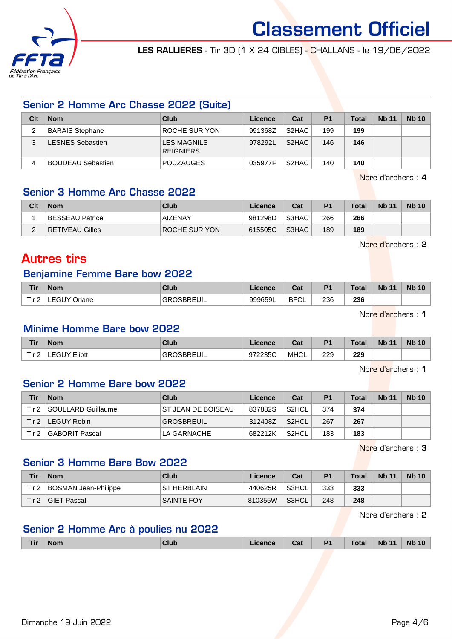

LES RALLIERES - Tir 3D (1 X 24 CIBLES) - CHALLANS - le 19/06/2022

### Senior 2 Homme Arc Chasse 2022 (Suite)

| Clt | <b>Nom</b>             | Club                            | Licence | Cat                | P <sub>1</sub> | <b>Total</b> | <b>Nb 11</b> | <b>Nb 10</b> |
|-----|------------------------|---------------------------------|---------|--------------------|----------------|--------------|--------------|--------------|
| ∠   | <b>BARAIS Stephane</b> | ROCHE SUR YON                   | 991368Z | S2HAC              | 199            | 199          |              |              |
|     | LESNES Sebastien       | LES MAGNILS<br><b>REIGNIERS</b> | 978292L | S <sub>2</sub> HAC | 146            | 146          |              |              |
|     | BOUDEAU Sebastien      | <b>POUZAUGES</b>                | 035977F | S <sub>2</sub> HAC | 140            | 140          |              |              |

Nbre d'archers : 4

# Senior 3 Homme Arc Chasse 2022

| Clt | <b>Nom</b>             | Club           | Licence | Cat   | P <sub>1</sub> | <b>Total</b> | <b>Nb 11</b> | <b>Nb 10</b> |
|-----|------------------------|----------------|---------|-------|----------------|--------------|--------------|--------------|
|     | BESSEAU Patrice        | <b>AIZENAY</b> | 981298D | S3HAC | 266            | 266          |              |              |
|     | <b>RETIVEAU Gilles</b> | ROCHE SUR YON  | 615505C | S3HAC | 189            | 189          |              |              |

Nbre d'archers : 2

# Autres tirs

## Benjamine Femme Bare bow 2022

| <b>Tir</b> | <b>Nom</b>   | Club                   | Licence | <b>Cal</b><br>val  | D <sub>4</sub> | <b>Total</b> | <b>N<sub>b</sub></b><br>$-11$ | <b>N<sub>b</sub></b><br>$\Lambda$ |
|------------|--------------|------------------------|---------|--------------------|----------------|--------------|-------------------------------|-----------------------------------|
| Tir 2      | EGUY Oriane. | <b>OSBREUIL</b><br>GR( | 999659L | <b>BFCI</b><br>∵∪∟ | 236            | 236          |                               |                                   |

Nbre d'archers : 1

#### Minime Homme Bare bow 2022

| <b>Tir</b>       | <b>Nom</b>          | Club            | Licence | <b>Date</b><br>sar | P <sub>1</sub> | <b>Total</b> | <b>N<sub>b</sub></b><br>$\overline{A}$ | <b>Nb</b><br>10 |
|------------------|---------------------|-----------------|---------|--------------------|----------------|--------------|----------------------------------------|-----------------|
| Tir <sub>2</sub> | <b>LEGUY Eliott</b> | ገSBREUIL<br>GR( | 972235C | <b>MHCL</b>        | 229            | 229          |                                        |                 |

Nbre d'archers : 1

#### Senior 2 Homme Bare bow 2022

| Tir   | <b>Nom</b>         | Club                | Licence | Cat                | P <sub>1</sub> | <b>Total</b> | <b>Nb 11</b> | <b>Nb 10</b> |
|-------|--------------------|---------------------|---------|--------------------|----------------|--------------|--------------|--------------|
| Tir 2 | SOULLARD Guillaume | IST JEAN DE BOISEAU | 837882S | S <sub>2</sub> HCL | 374            | 374          |              |              |
| Tir 2 | LEGUY Robin        | GROSBREUIL          | 312408Z | S <sub>2</sub> HCL | 267            | 267          |              |              |
| Tir 2 | GABORIT Pascal     | LA GARNACHE         | 682212K | S2HCL              | 183            | 183          |              |              |

Nbre d'archers : 3

# Senior 3 Homme Bare Bow 2022

| Tir   | <b>Nom</b>           | Club          | Licence | Cat   | P <sub>1</sub> | <b>Total</b> | <b>Nb 11</b> | <b>Nb 10</b> |
|-------|----------------------|---------------|---------|-------|----------------|--------------|--------------|--------------|
| Tir 2 | BOSMAN Jean-Philippe | IST HERBLAIN. | 440625R | S3HCL | 333            | 333          |              |              |
| Tir 2 | <b>GIET Pascal</b>   | SAINTE FOY    | 810355W | S3HCL | 248            | 248          |              |              |

Nbre d'archers : 2

# Senior 2 Homme Arc à poulies nu 2022

| <b>Tir</b> | <b>Nom</b> | <b>Club</b> | ∟icence | Cat | <b>P1</b> | <b>Total</b> | <b>Nb 11</b> | <b>Nb</b><br>10 |
|------------|------------|-------------|---------|-----|-----------|--------------|--------------|-----------------|
|            |            |             |         |     |           |              |              |                 |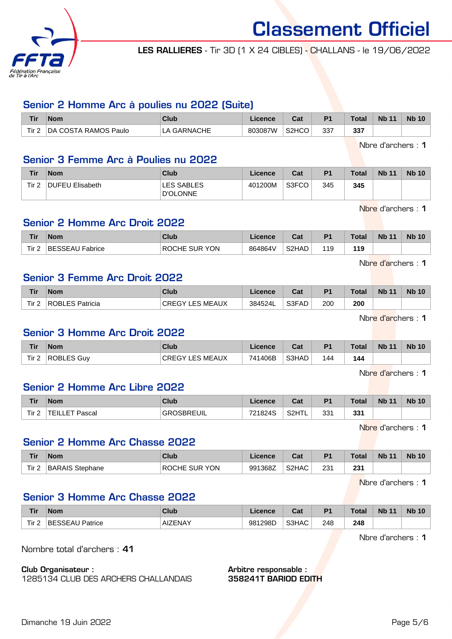

LES RALLIERES - Tir 3D (1 X 24 CIBLES) - CHALLANS - le 19/06/2022

## Senior 2 Homme Arc à poulies nu 2022 (Suite)

| <b>Tir</b> | <b>Nom</b>           | Club            | Licence | <b>Cost</b><br>ual             | D <sub>4</sub> | Tota | <b>Nb 11</b> | <b>Nb 10</b> |
|------------|----------------------|-----------------|---------|--------------------------------|----------------|------|--------------|--------------|
| Tir 2      | DA COSTA RAMOS Paulo | <b>GARNACHE</b> | 803087W | S <sub>2</sub> H <sub>CO</sub> | 337            | 337  |              |              |

Nbre d'archers : 1

## Senior 3 Femme Arc à Poulies nu 2022

| Tir   | <b>Nom</b>             | <b>Club</b>                   | <b>Licence</b> | Cat   | P <sub>1</sub> | Total | <b>Nb 11</b> | <b>Nb 10</b> |
|-------|------------------------|-------------------------------|----------------|-------|----------------|-------|--------------|--------------|
| Tir 2 | <b>DUFEU Elisabeth</b> | LES SABLES<br><b>D'OLONNE</b> | 401200M        | S3FCO | 345            | 345   |              |              |

Nbre d'archers : 1

### Senior 2 Homme Arc Droit 2022

| Tir <sub>2</sub><br>S2HAD<br><b>YON</b><br>864864V<br>BESSEAU Fabrice<br><b>SUR</b><br>119<br><b>ROCHE</b><br>119 | <b>Tir</b> | <b>Nom</b> | Club | Licence | r.,<br>va. | P <sub>1</sub> | <b>Total</b> | <b>Nb 11</b> | <b>N<sub>b</sub></b> |
|-------------------------------------------------------------------------------------------------------------------|------------|------------|------|---------|------------|----------------|--------------|--------------|----------------------|
|                                                                                                                   |            |            |      |         |            |                |              |              |                      |

Nbre d'archers : 1

#### Senior 3 Femme Arc Droit 2022

| <b>Tir</b>       | <b>Nom</b>      | Club                      | ∟icence | ◠੍៰<br>ual | P <sub>1</sub> | <b>Total</b> | <b>Nb 11</b> | <b>Nb 10</b> |
|------------------|-----------------|---------------------------|---------|------------|----------------|--------------|--------------|--------------|
| Tir <sub>2</sub> | ROBLES Patricia | LES MEAUX<br><b>CREGY</b> | 384524L | S3FAD      | 200            | 200          |              |              |

Nbre d'archers : 1

# Senior 3 Homme Arc Droit 2022

| <b>Tir</b>       | <b>Nom</b> | Club                   | Licence | $\sim$<br>ual | P <sub>1</sub> | Total | <b>Nb 11</b> | <b>Nb 10</b> |
|------------------|------------|------------------------|---------|---------------|----------------|-------|--------------|--------------|
| Tir <sub>2</sub> | ROBLES Guv | <b>CREGY LES MEAUX</b> | 741406B | S3HAD         | 144            | 144   |              |              |

Nbre d'archers : 1

# Senior 2 Homme Arc Libre 2022

| Tir   | <b>Nom</b> | <b>Club</b>  | Licence | $R_{\rm{eff}}$<br>ual | P <sub>1</sub> | <b>Total</b> | <b>Nb 11</b> | <b>Nb 10</b> |
|-------|------------|--------------|---------|-----------------------|----------------|--------------|--------------|--------------|
| Tir 2 | Pascal     | UIL<br>2 D E | 721824S | S2HTL                 | 331            | 331          |              |              |

Nbre d'archers : 1

#### Senior 2 Homme Arc Chasse 2022

| <b>Tir</b> | <b>Nom</b>             | Club                                     | Licence | ن م<br>⊍d                      | D <sub>1</sub> | <b>Total</b>        | <b>Nb 11</b> | <b>Nb</b> |
|------------|------------------------|------------------------------------------|---------|--------------------------------|----------------|---------------------|--------------|-----------|
| Tir 2<br>- | <b>BARAIS Stephane</b> | <b>YON</b><br><b>SUR</b><br><b>ROCHE</b> | 991368Z | S <sub>2</sub> H <sub>AC</sub> | 231<br>$\sim$  | つつイ<br>ا د∠<br>$ -$ |              |           |

Nbre d'archers : 1

# Senior 3 Homme Arc Chasse 2022

| <b>Tir</b>       | <b>Nom</b>                                  | Club                        | icence  | ו ה<br>uai | D <sub>1</sub> | <b>Total</b> | <b>N<sub>b</sub></b><br>$\overline{A}$ | <b>Nb</b><br>10 <sup>°</sup> |
|------------------|---------------------------------------------|-----------------------------|---------|------------|----------------|--------------|----------------------------------------|------------------------------|
| Tir <sub>2</sub> | <b>COL</b><br>BE.<br>Patrice<br>:১১E/<br>∼∾ | <b>ZENAV</b><br>∃AIZE.<br>. | 981298D | S3HAC      | 248            | 248          |                                        |                              |

Nbre d'archers : 1

Nombre total d'archers : 41

Club Organisateur :

1285134 CLUB DES ARCHERS CHALLANDAIS

Arbitre responsable : 358241T BARIOD EDITH